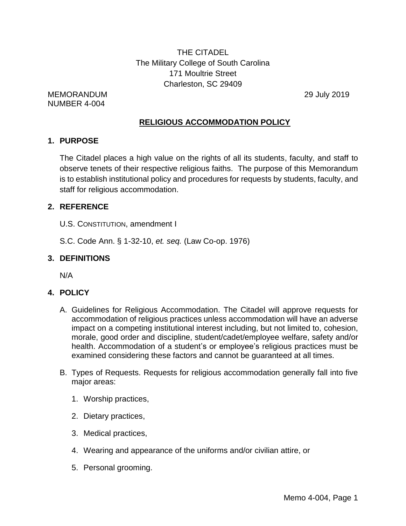THE CITADEL The Military College of South Carolina 171 Moultrie Street Charleston, SC 29409

MEMORANDUM 29 July 2019 NUMBER 4-004

# **RELIGIOUS ACCOMMODATION POLICY**

## **1. PURPOSE**

The Citadel places a high value on the rights of all its students, faculty, and staff to observe tenets of their respective religious faiths. The purpose of this Memorandum is to establish institutional policy and procedures for requests by students, faculty, and staff for religious accommodation.

# **2. REFERENCE**

- U.S. CONSTITUTION, amendment I
- S.C. Code Ann. § 1-32-10, *et. seq.* (Law Co-op. 1976)

# **3. DEFINITIONS**

N/A

# **4. POLICY**

- A. Guidelines for Religious Accommodation. The Citadel will approve requests for accommodation of religious practices unless accommodation will have an adverse impact on a competing institutional interest including, but not limited to, cohesion, morale, good order and discipline, student/cadet/employee welfare, safety and/or health. Accommodation of a student's or employee's religious practices must be examined considering these factors and cannot be guaranteed at all times.
- B. Types of Requests. Requests for religious accommodation generally fall into five major areas:
	- 1. Worship practices,
	- 2. Dietary practices,
	- 3. Medical practices,
	- 4. Wearing and appearance of the uniforms and/or civilian attire, or
	- 5. Personal grooming.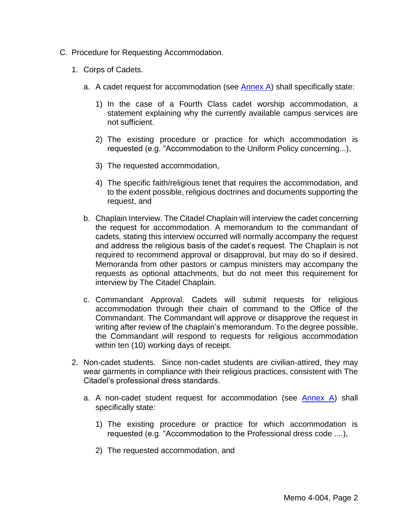- C. Procedure for Requesting Accommodation.
	- 1. Corps of Cadets.
		- a. A cadet request for accommodation (see  $\frac{\text{Annex A}}{\text{Anlex A}}$ ) shall specifically state:
			- 1) In the case of a Fourth Class cadet worship accommodation, a statement explaining why the currently available campus services are not sufficient.
			- 2) The existing procedure or practice for which accommodation is requested (e.g. "Accommodation to the Uniform Policy concerning...),
			- 3) The requested accommodation,
			- 4) The specific faith/religious tenet that requires the accommodation, and to the extent possible, religious doctrines and documents supporting the request, and
		- b. Chaplain Interview. The Citadel Chaplain will interview the cadet concerning the request for accommodation. A memorandum to the commandant of cadets, stating this interview occurred will normally accompany the request and address the religious basis of the cadet's request. The Chaplain is not required to recommend approval or disapproval, but may do so if desired. Memoranda from other pastors or campus ministers may accompany the requests as optional attachments, but do not meet this requirement for interview by The Citadel Chaplain.
		- c. Commandant Approval. Cadets will submit requests for religious accommodation through their chain of command to the Office of the Commandant. The Commandant will approve or disapprove the request in writing after review of the chaplain's memorandum. To the degree possible, the Commandant will respond to requests for religious accommodation within ten (10) working days of receipt.
	- 2. Non-cadet students. Since non-cadet students are civilian-attired, they may wear garments in compliance with their religious practices, consistent with The Citadel's professional dress standards.
		- a. A non-cadet student request for accommodation (see [Annex A\)](http://www.citadel.edu/root/images/policies/religious-accommodation-request-annex-a.pdf) shall specifically state:
			- 1) The existing procedure or practice for which accommodation is requested (e.g. "Accommodation to the Professional dress code ....),
			- 2) The requested accommodation, and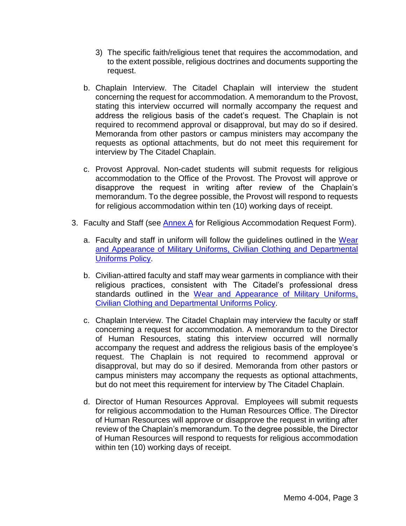- 3) The specific faith/religious tenet that requires the accommodation, and to the extent possible, religious doctrines and documents supporting the request.
- b. Chaplain Interview. The Citadel Chaplain will interview the student concerning the request for accommodation. A memorandum to the Provost, stating this interview occurred will normally accompany the request and address the religious basis of the cadet's request. The Chaplain is not required to recommend approval or disapproval, but may do so if desired. Memoranda from other pastors or campus ministers may accompany the requests as optional attachments, but do not meet this requirement for interview by The Citadel Chaplain.
- c. Provost Approval. Non-cadet students will submit requests for religious accommodation to the Office of the Provost. The Provost will approve or disapprove the request in writing after review of the Chaplain's memorandum. To the degree possible, the Provost will respond to requests for religious accommodation within ten (10) working days of receipt.
- 3. Faculty and Staff (see [Annex A](http://www.citadel.edu/root/images/policies/religious-accommodation-request-annex-a.pdf) for Religious Accommodation Request Form).
	- a. Faculty and staff in uniform will follow the guidelines outlined in the Wear [and Appearance of Military Uniforms, Civilian Clothing and Departmental](http://www.citadel.edu/root/images/policies/wear-and-appearance-of-military-uniforms-civilian-clothing-and-dept-uniforms-policy.pdf)  [Uniforms Policy.](http://www.citadel.edu/root/images/policies/wear-and-appearance-of-military-uniforms-civilian-clothing-and-dept-uniforms-policy.pdf)
	- b. Civilian-attired faculty and staff may wear garments in compliance with their religious practices, consistent with The Citadel's professional dress standards outlined in the [Wear and Appearance of Military Uniforms,](http://www.citadel.edu/root/images/policies/wear-and-appearance-of-military-uniforms-civilian-clothing-and-dept-uniforms-policy.pdf)  [Civilian Clothing and Departmental Uniforms Policy.](http://www.citadel.edu/root/images/policies/wear-and-appearance-of-military-uniforms-civilian-clothing-and-dept-uniforms-policy.pdf)
	- c. Chaplain Interview. The Citadel Chaplain may interview the faculty or staff concerning a request for accommodation. A memorandum to the Director of Human Resources, stating this interview occurred will normally accompany the request and address the religious basis of the employee's request. The Chaplain is not required to recommend approval or disapproval, but may do so if desired. Memoranda from other pastors or campus ministers may accompany the requests as optional attachments, but do not meet this requirement for interview by The Citadel Chaplain.
	- d. Director of Human Resources Approval. Employees will submit requests for religious accommodation to the Human Resources Office. The Director of Human Resources will approve or disapprove the request in writing after review of the Chaplain's memorandum. To the degree possible, the Director of Human Resources will respond to requests for religious accommodation within ten (10) working days of receipt.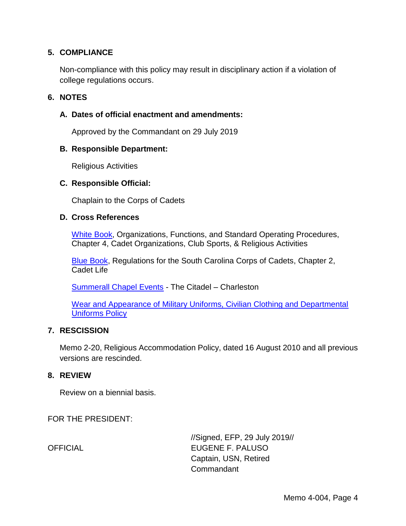## **5. COMPLIANCE**

Non-compliance with this policy may result in disciplinary action if a violation of college regulations occurs.

### **6. NOTES**

### **A. Dates of official enactment and amendments:**

Approved by the Commandant on 29 July 2019

### **B. Responsible Department:**

Religious Activities

### **C. Responsible Official:**

Chaplain to the Corps of Cadets

### **D. Cross References**

[White Book,](http://www.citadel.edu/root/images/commandant/white-book.pdf) Organizations, Functions, and Standard Operating Procedures, Chapter 4, Cadet Organizations, Club Sports, & Religious Activities

[Blue Book,](http://www.citadel.edu/root/images/commandant/blue-book.pdf) Regulations for the South Carolina Corps of Cadets, Chapter 2, Cadet Life

[Summerall Chapel Events](http://www.citadel.edu/root/chapel-events) - The Citadel – Charleston

[Wear and Appearance of Military Uniforms, Civilian Clothing and Departmental](http://www.citadel.edu/root/images/policies/wear-and-appearance-of-military-uniforms-civilian-clothing-and-dept-uniforms-policy.pdf)  [Uniforms Policy](http://www.citadel.edu/root/images/policies/wear-and-appearance-of-military-uniforms-civilian-clothing-and-dept-uniforms-policy.pdf)

### **7. RESCISSION**

Memo 2-20, Religious Accommodation Policy, dated 16 August 2010 and all previous versions are rescinded.

### **8. REVIEW**

Review on a biennial basis.

FOR THE PRESIDENT:

//Signed, EFP, 29 July 2019// OFFICIAL EUGENE F. PALUSO Captain, USN, Retired Commandant